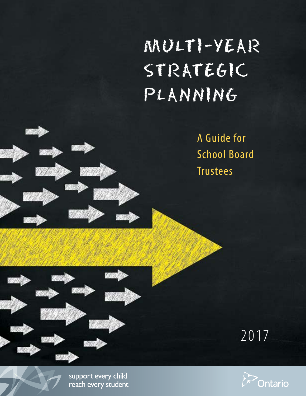# MULTI-YEAR STRATEGIC PLANNING

A Guide for School Board Trustees





support every child reach every student

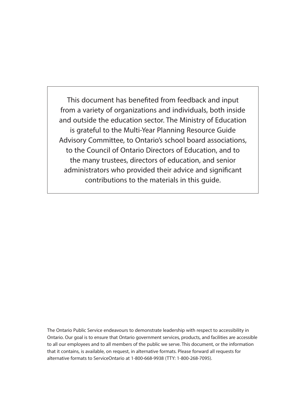This document has benefited from feedback and input from a variety of organizations and individuals, both inside and outside the education sector. The Ministry of Education is grateful to the Multi-Year Planning Resource Guide Advisory Committee, to Ontario's school board associations, to the Council of Ontario Directors of Education, and to the many trustees, directors of education, and senior administrators who provided their advice and significant contributions to the materials in this guide.

The Ontario Public Service endeavours to demonstrate leadership with respect to accessibility in Ontario. Our goal is to ensure that Ontario government services, products, and facilities are accessible to all our employees and to all members of the public we serve. This document, or the information that it contains, is available, on request, in alternative formats. Please forward all requests for alternative formats to ServiceOntario at 1-800-668-9938 (TTY: 1-800-268-7095).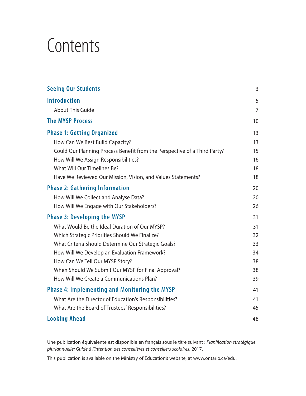# **Contents**

| <b>Seeing Our Students</b>                                                | 3              |
|---------------------------------------------------------------------------|----------------|
| <b>Introduction</b>                                                       | 5              |
| <b>About This Guide</b>                                                   | $\overline{7}$ |
| <b>The MYSP Process</b>                                                   | 10             |
| <b>Phase 1: Getting Organized</b>                                         | 13             |
| How Can We Best Build Capacity?                                           | 13             |
| Could Our Planning Process Benefit from the Perspective of a Third Party? | 15             |
| How Will We Assign Responsibilities?                                      | 16             |
| What Will Our Timelines Be?                                               | 18             |
| Have We Reviewed Our Mission, Vision, and Values Statements?              | 18             |
| <b>Phase 2: Gathering Information</b>                                     | 20             |
| How Will We Collect and Analyse Data?                                     | 20             |
| How Will We Engage with Our Stakeholders?                                 | 26             |
| <b>Phase 3: Developing the MYSP</b>                                       | 31             |
| What Would Be the Ideal Duration of Our MYSP?                             | 31             |
| Which Strategic Priorities Should We Finalize?                            | 32             |
| What Criteria Should Determine Our Strategic Goals?                       | 33             |
| How Will We Develop an Evaluation Framework?                              | 34             |
| How Can We Tell Our MYSP Story?                                           | 38             |
| When Should We Submit Our MYSP for Final Approval?                        | 38             |
| How Will We Create a Communications Plan?                                 | 39             |
| <b>Phase 4: Implementing and Monitoring the MYSP</b>                      | 41             |
| What Are the Director of Education's Responsibilities?                    | 41             |
| What Are the Board of Trustees' Responsibilities?                         | 45             |
| <b>Looking Ahead</b>                                                      | 48             |

Une publication équivalente est disponible en français sous le titre suivant : *Planification stratégique pluriannuelle: Guide à l'intention des conseillères et conseillers scolaires*, 2017.

This publication is available on the Ministry of Education's website, at www.ontario.ca/edu.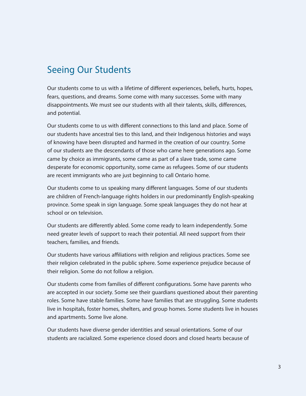# Seeing Our Students

Our students come to us with a lifetime of different experiences, beliefs, hurts, hopes, fears, questions, and dreams. Some come with many successes. Some with many disappointments. We must see our students with all their talents, skills, differences, and potential.

Our students come to us with different connections to this land and place. Some of our students have ancestral ties to this land, and their Indigenous histories and ways of knowing have been disrupted and harmed in the creation of our country. Some of our students are the descendants of those who came here generations ago. Some came by choice as immigrants, some came as part of a slave trade, some came desperate for economic opportunity, some came as refugees. Some of our students are recent immigrants who are just beginning to call Ontario home.

Our students come to us speaking many different languages. Some of our students are children of French-language rights holders in our predominantly English-speaking province. Some speak in sign language. Some speak languages they do not hear at school or on television.

Our students are differently abled. Some come ready to learn independently. Some need greater levels of support to reach their potential. All need support from their teachers, families, and friends.

Our students have various affiliations with religion and religious practices. Some see their religion celebrated in the public sphere. Some experience prejudice because of their religion. Some do not follow a religion.

Our students come from families of different configurations. Some have parents who are accepted in our society. Some see their guardians questioned about their parenting roles. Some have stable families. Some have families that are struggling. Some students live in hospitals, foster homes, shelters, and group homes. Some students live in houses and apartments. Some live alone.

Our students have diverse gender identities and sexual orientations. Some of our students are racialized. Some experience closed doors and closed hearts because of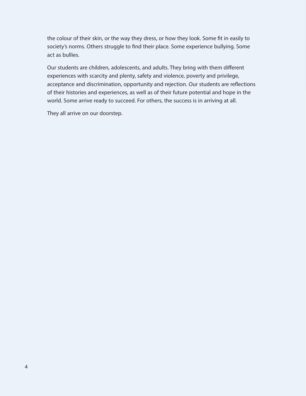the colour of their skin, or the way they dress, or how they look. Some fit in easily to society's norms. Others struggle to find their place. Some experience bullying. Some act as bullies.

Our students are children, adolescents, and adults. They bring with them different experiences with scarcity and plenty, safety and violence, poverty and privilege, acceptance and discrimination, opportunity and rejection. Our students are reflections of their histories and experiences, as well as of their future potential and hope in the world. Some arrive ready to succeed. For others, the success is in arriving at all.

They all arrive on our doorstep.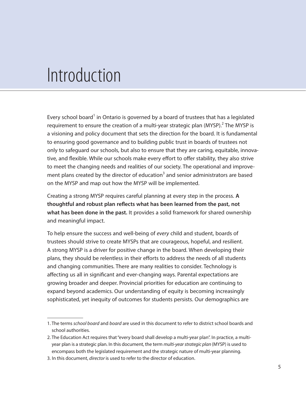# Introduction

Every school board<sup>1</sup> in Ontario is governed by a board of trustees that has a legislated requirement to ensure the creation of a multi-year strategic plan  $(MYSP)$ .<sup>2</sup> The MYSP is a visioning and policy document that sets the direction for the board. It is fundamental to ensuring good governance and to building public trust in boards of trustees not only to safeguard our schools, but also to ensure that they are caring, equitable, innovative, and flexible. While our schools make every effort to offer stability, they also strive to meet the changing needs and realities of our society. The operational and improvement plans created by the director of education<sup>3</sup> and senior administrators are based on the MYSP and map out how the MYSP will be implemented.

Creating a strong MYSP requires careful planning at every step in the process. **A thoughtful and robust plan reflects what has been learned from the past, not what has been done in the past.** It provides a solid framework for shared ownership and meaningful impact.

To help ensure the success and well-being of *every* child and student, boards of trustees should strive to create MYSPs that are courageous, hopeful, and resilient. A strong MYSP is a driver for positive change in the board. When developing their plans, they should be relentless in their efforts to address the needs of all students and changing communities. There are many realities to consider. Technology is affecting us all in significant and ever-changing ways. Parental expectations are growing broader and deeper. Provincial priorities for education are continuing to expand beyond academics. Our understanding of equity is becoming increasingly sophisticated, yet inequity of outcomes for students persists. Our demographics are

<sup>1.</sup> The terms *school board* and *board* are used in this document to refer to district school boards and school authorities.

<sup>2.</sup> The Education Act requires that "every board shall develop a multi-year plan". In practice, a multiyear plan is a strategic plan. In this document, the term *multi-year strategic plan* (MYSP) is used to encompass both the legislated requirement and the strategic nature of multi-year planning.

<sup>3.</sup> In this document, *director* is used to refer to the director of education.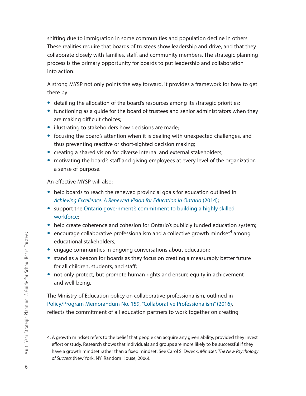shifting due to immigration in some communities and population decline in others. These realities require that boards of trustees show leadership and drive, and that they collaborate closely with families, staff, and community members. The strategic planning process is the primary opportunity for boards to put leadership and collaboration into action.

A strong MYSP not only points the way forward, it provides a framework for how to get there by:

- detailing the allocation of the board's resources among its strategic priorities;
- **•** functioning as a guide for the board of trustees and senior administrators when they are making difficult choices;
- **•** illustrating to stakeholders how decisions are made;
- **•** focusing the board's attention when it is dealing with unexpected challenges, and thus preventing reactive or short-sighted decision making;
- **•** creating a shared vision for diverse internal and external stakeholders;
- motivating the board's staff and giving employees at every level of the organization a sense of purpose.

An effective MYSP will also:

- **•** help boards to reach the renewed provincial goals for education outlined in *Achieving Excellence: A Renewed Vision for Education in Ontario* (2014);
- **•** support the Ontario government's commitment to building a highly skilled workforce;
- help create coherence and cohesion for Ontario's publicly funded education system;
- $\bullet$  encourage collaborative professionalism and a collective growth mindset<sup>4</sup> among educational stakeholders;
- **•** engage communities in ongoing conversations about education;
- **•** stand as a beacon for boards as they focus on creating a measurably better future for all children, students, and staff;
- **•** not only protect, but promote human rights and ensure equity in achievement and well-being.

The Ministry of Education policy on collaborative professionalism, outlined in Policy/Program Memorandum No. 159, "Collaborative Professionalism" (2016), reflects the commitment of all education partners to work together on creating

<sup>4.</sup> A growth mindset refers to the belief that people can acquire any given ability, provided they invest effort or study. Research shows that individuals and groups are more likely to be successful if they have a growth mindset rather than a fixed mindset. See Carol S. Dweck, *Mindset: The New Psychology of Success* (New York, NY: Random House, 2006).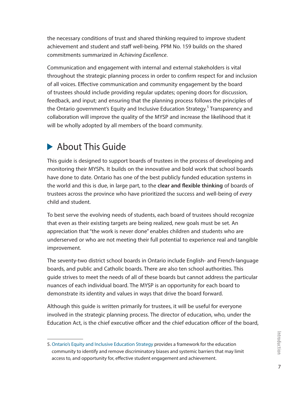the necessary conditions of trust and shared thinking required to improve student achievement and student and staff well-being. PPM No. 159 builds on the shared commitments summarized in *Achieving Excellence*.

Communication and engagement with internal and external stakeholders is vital throughout the strategic planning process in order to confirm respect for and inclusion of all voices. Effective communication and community engagement by the board of trustees should include providing regular updates; opening doors for discussion, feedback, and input; and ensuring that the planning process follows the principles of the Ontario government's Equity and Inclusive Education Strategy.<sup>5</sup> Transparency and collaboration will improve the quality of the MYSP and increase the likelihood that it will be wholly adopted by all members of the board community.

# **About This Guide**

This guide is designed to support boards of trustees in the process of developing and monitoring their MYSPs. It builds on the innovative and bold work that school boards have done to date. Ontario has one of the best publicly funded education systems in the world and this is due, in large part, to the **clear and flexible thinking** of boards of trustees across the province who have prioritized the success and well-being of *every*  child and student.

To best serve the evolving needs of students, each board of trustees should recognize that even as their existing targets are being realized, new goals must be set. An appreciation that "the work is never done" enables children and students who are underserved or who are not meeting their full potential to experience real and tangible improvement.

The seventy-two district school boards in Ontario include English- and French-language boards, and public and Catholic boards. There are also ten school authorities. This guide strives to meet the needs of all of these boards but cannot address the particular nuances of each individual board. The MYSP is an opportunity for each board to demonstrate its identity and values in ways that drive the board forward.

Although this guide is written primarily for trustees, it will be useful for everyone involved in the strategic planning process. The director of education, who, under the Education Act, is the chief executive officer and the chief education officer of the board,

<sup>5.</sup> Ontario's Equity and Inclusive Education Strategy provides a framework for the education community to identify and remove discriminatory biases and systemic barriers that may limit access to, and opportunity for, effective student engagement and achievement.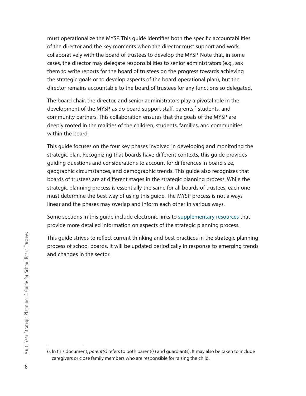must operationalize the MYSP. This guide identifies both the specific accountabilities of the director and the key moments when the director must support and work collaboratively with the board of trustees to develop the MYSP. Note that, in some cases, the director may delegate responsibilities to senior administrators (e.g., ask them to write reports for the board of trustees on the progress towards achieving the strategic goals or to develop aspects of the board operational plan), but the director remains accountable to the board of trustees for any functions so delegated.

The board chair, the director, and senior administrators play a pivotal role in the development of the MYSP, as do board support staff, parents,<sup>6</sup> students, and community partners. This collaboration ensures that the goals of the MYSP are deeply rooted in the realities of the children, students, families, and communities within the board.

This guide focuses on the four key phases involved in developing and monitoring the strategic plan. Recognizing that boards have different contexts, this guide provides guiding questions and considerations to account for differences in board size, geographic circumstances, and demographic trends. This guide also recognizes that boards of trustees are at different stages in the strategic planning process. While the strategic planning process is essentially the same for all boards of trustees, each one must determine the best way of using this guide. The MYSP process is not always linear and the phases may overlap and inform each other in various ways.

Some sections in this guide include electronic links to supplementary resources that provide more detailed information on aspects of the strategic planning process.

This guide strives to reflect current thinking and best practices in the strategic planning process of school boards. It will be updated periodically in response to emerging trends and changes in the sector.

<sup>6.</sup> In this document, *parent(s)* refers to both parent(s) and guardian(s). It may also be taken to include caregivers or close family members who are responsible for raising the child.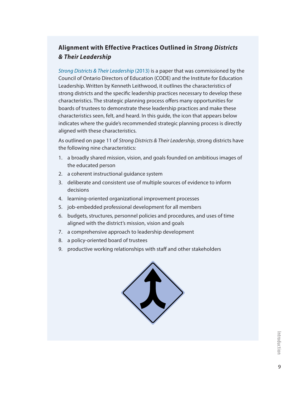## **Alignment with Effective Practices Outlined in** *Strong Districts & Their Leadership*

*Strong Districts & Their Leadership* (2013) is a paper that was commissioned by the Council of Ontario Directors of Education (CODE) and the Institute for Education Leadership. Written by Kenneth Leithwood, it outlines the characteristics of strong districts and the specific leadership practices necessary to develop these characteristics. The strategic planning process offers many opportunities for boards of trustees to demonstrate these leadership practices and make these characteristics seen, felt, and heard. In this guide, the icon that appears below indicates where the guide's recommended strategic planning process is directly aligned with these characteristics.

As outlined on page 11 of *Strong Districts & Their Leadership*, strong districts have the following nine characteristics:

- 1. a broadly shared mission, vision, and goals founded on ambitious images of the educated person
- 2. a coherent instructional guidance system
- 3. deliberate and consistent use of multiple sources of evidence to inform decisions
- 4. learning-oriented organizational improvement processes
- 5. job-embedded professional development for all members
- 6. budgets, structures, personnel policies and procedures, and uses of time aligned with the district's mission, vision and goals
- 7. a comprehensive approach to leadership development
- 8. a policy-oriented board of trustees
- 9. productive working relationships with staff and other stakeholders

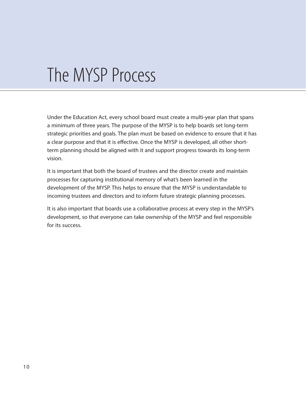# The MYSP Process

Under the Education Act, every school board must create a multi-year plan that spans a minimum of three years. The purpose of the MYSP is to help boards set long-term strategic priorities and goals. The plan must be based on evidence to ensure that it has a clear purpose and that it is effective. Once the MYSP is developed, all other shortterm planning should be aligned with it and support progress towards its long-term vision.

It is important that both the board of trustees and the director create and maintain processes for capturing institutional memory of what's been learned in the development of the MYSP. This helps to ensure that the MYSP is understandable to incoming trustees and directors and to inform future strategic planning processes.

It is also important that boards use a collaborative process at every step in the MYSP's development, so that everyone can take ownership of the MYSP and feel responsible for its success.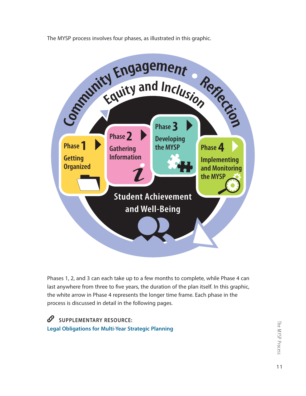The MYSP process involves four phases, as illustrated in this graphic.



Phases 1, 2, and 3 can each take up to a few months to complete, while Phase 4 can last anywhere from three to five years, the duration of the plan itself. In this graphic, the white arrow in Phase 4 represents the longer time frame. Each phase in the process is discussed in detail in the following pages.

 $\mathscr{O}$ **SUPPLEMENTARY RESOURCE: Legal Obligations for Multi-Year Strategic Planning**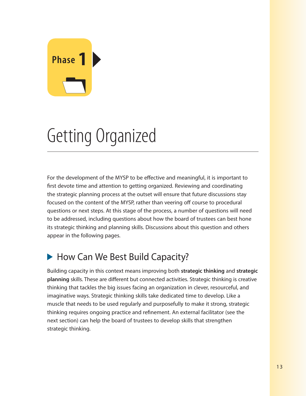# **Phase 1**

# Getting Organized

For the development of the MYSP to be effective and meaningful, it is important to first devote time and attention to getting organized. Reviewing and coordinating the strategic planning process at the outset will ensure that future discussions stay focused on the content of the MYSP, rather than veering off course to procedural questions or next steps. At this stage of the process, a number of questions will need to be addressed, including questions about how the board of trustees can best hone its strategic thinking and planning skills. Discussions about this question and others appear in the following pages.

# ▶ How Can We Best Build Capacity?

Building capacity in this context means improving both **strategic thinking** and **strategic planning** skills. These are different but connected activities. Strategic thinking is creative thinking that tackles the big issues facing an organization in clever, resourceful, and imaginative ways. Strategic thinking skills take dedicated time to develop. Like a muscle that needs to be used regularly and purposefully to make it strong, strategic thinking requires ongoing practice and refinement. An external facilitator (see the next section) can help the board of trustees to develop skills that strengthen strategic thinking.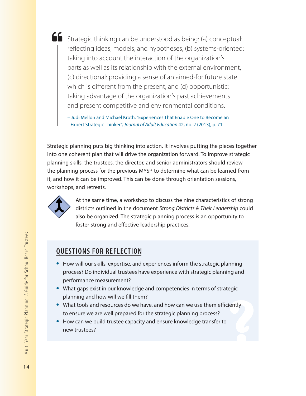Strategic thinking can be understood as being: (a) conceptual: reflecting ideas, models, and hypotheses, (b) systems-oriented: taking into account the interaction of the organization's parts as well as its relationship with the external environment, (c) directional: providing a sense of an aimed-for future state which is different from the present, and (d) opportunistic: taking advantage of the organization's past achievements and present competitive and environmental conditions.

– Judi Mellon and Michael Kroth, "Experiences That Enable One to Become an Expert Strategic Thinker", *Journal of Adult Education* 42, no. 2 (2013), p. 71

Strategic planning puts big thinking into action. It involves putting the pieces together into one coherent plan that will drive the organization forward. To improve strategic planning skills, the trustees, the director, and senior administrators should review the planning process for the previous MYSP to determine what can be learned from it, and how it can be improved. This can be done through orientation sessions, workshops, and retreats.



At the same time, a workshop to discuss the nine characteristics of strong districts outlined in the document *Strong Districts & Their Leadership* could also be organized. The strategic planning process is an opportunity to foster strong and effective leadership practices.

# **QUESTIONS FOR REFLECTION**

- **•** How will our skills, expertise, and experiences inform the strategic planning process? Do individual trustees have experience with strategic planning and performance measurement?
- **•** What gaps exist in our knowledge and competencies in terms of strategic planning and how will we fill them?
- **•** What tools and resources do we have, and how can we use them efficiently to ensure we are well prepared for the strategic planning process?
- **•** How can we build trustee capacity and ensure knowledge transfer to new trustees?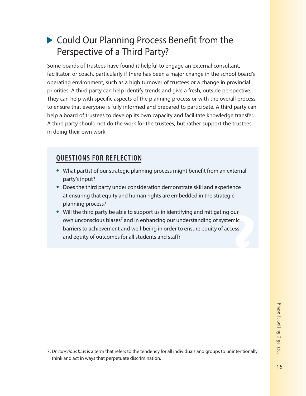# ▶ Could Our Planning Process Benefit from the Perspective of a Third Party?

Some boards of trustees have found it helpful to engage an external consultant, facilitator, or coach, particularly if there has been a major change in the school board's operating environment, such as a high turnover of trustees or a change in provincial priorities. A third party can help identify trends and give a fresh, outside perspective. They can help with specific aspects of the planning process or with the overall process, to ensure that everyone is fully informed and prepared to participate. A third party can help a board of trustees to develop its own capacity and facilitate knowledge transfer. A third party should not do the work for the trustees, but rather support the trustees in doing their own work.

# **QUESTIONS FOR REFLECTION**

- **•** What part(s) of our strategic planning process might benefit from an external party's input?
- **•** Does the third party under consideration demonstrate skill and experience at ensuring that equity and human rights are embedded in the strategic planning process?
- **•** Will the third party be able to support us in identifying and mitigating our own unconscious biases<sup>7</sup> and in enhancing our understanding of systemic barriers to achievement and well-being in order to ensure equity of access and equity of outcomes for all students and staff?

<sup>7.</sup> *Unconscious bias* is a term that refers to the tendency for all individuals and groups to unintentionally think and act in ways that perpetuate discrimination.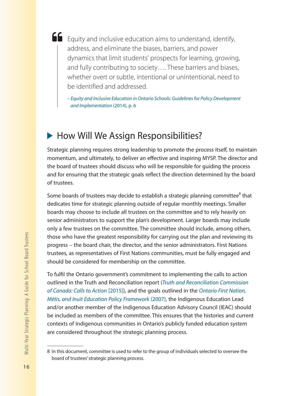Equity and inclusive education aims to understand, identify, address, and eliminate the biases, barriers, and power dynamics that limit students' prospects for learning, growing, and fully contributing to society…. These barriers and biases, whether overt or subtle, intentional or unintentional, need to be identified and addressed.

*– Equity and Inclusive Education in Ontario Schools: Guidelines for Policy Development and Implementation* (2014), p. 6

# How Will We Assign Responsibilities?

Strategic planning requires strong leadership to promote the process itself, to maintain momentum, and ultimately, to deliver an effective and inspiring MYSP. The director and the board of trustees should discuss who will be responsible for guiding the process and for ensuring that the strategic goals reflect the direction determined by the board of trustees.

Some boards of trustees may decide to establish a strategic planning committee $^8$  that dedicates time for strategic planning outside of regular monthly meetings. Smaller boards may choose to include all trustees on the committee and to rely heavily on senior administrators to support the plan's development. Larger boards may include only a few trustees on the committee. The committee should include, among others, those who have the greatest responsibility for carrying out the plan and reviewing its progress – the board chair, the director, and the senior administrators. First Nations trustees, as representatives of First Nations communities, must be fully engaged and should be considered for membership on the committee.

To fulfil the Ontario government's commitment to implementing the calls to action outlined in the Truth and Reconciliation report (*Truth and Reconciliation Commission of Canada: Calls to Action* [2015]), and the goals outlined in the *Ontario First Nation, Métis, and Inuit Education Policy Framework* (2007), the Indigenous Education Lead and/or another member of the Indigenous Education Advisory Council (IEAC) should be included as members of the committee. This ensures that the histories and current contexts of Indigenous communities in Ontario's publicly funded education system are considered throughout the strategic planning process.

<sup>8</sup> In this document, *committee* is used to refer to the group of individuals selected to oversee the board of trustees' strategic planning process.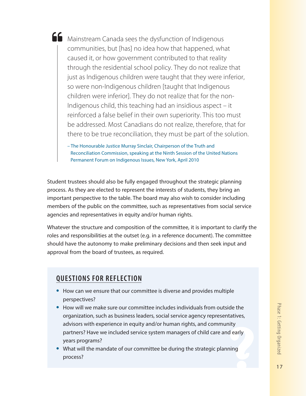Mainstream Canada sees the dysfunction of Indigenous communities, but [has] no idea how that happened, what caused it, or how government contributed to that reality through the residential school policy. They do not realize that just as Indigenous children were taught that they were inferior, so were non-Indigenous children [taught that Indigenous children were inferior]. They do not realize that for the non-Indigenous child, this teaching had an insidious aspect – it reinforced a false belief in their own superiority. This too must be addressed. Most Canadians do not realize, therefore, that for there to be true reconciliation, they must be part of the solution.

– The Honourable Justice Murray Sinclair, Chairperson of the Truth and Reconciliation Commission, speaking at the Ninth Session of the United Nations Permanent Forum on Indigenous Issues, New York, April 2010

Student trustees should also be fully engaged throughout the strategic planning process. As they are elected to represent the interests of students, they bring an important perspective to the table. The board may also wish to consider including members of the public on the committee, such as representatives from social service agencies and representatives in equity and/or human rights.

Whatever the structure and composition of the committee, it is important to clarify the roles and responsibilities at the outset (e.g. in a reference document). The committee should have the autonomy to make preliminary decisions and then seek input and approval from the board of trustees, as required.

# **QUESTIONS FOR REFLECTION**

- **•** How can we ensure that our committee is diverse and provides multiple perspectives?
- **•** How will we make sure our committee includes individuals from outside the organization, such as business leaders, social service agency representatives, advisors with experience in equity and/or human rights, and community partners? Have we included service system managers of child care and early years programs?
- **•** What will the mandate of our committee be during the strategic planning process?

Phase 1: Getting Organized Phase 1: Getting Organized<br>17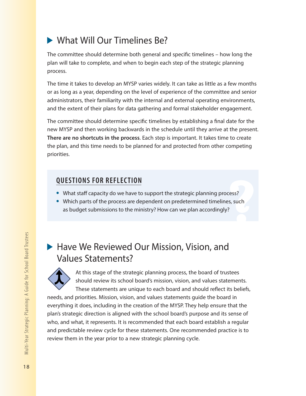# ▶ What Will Our Timelines Be?

The committee should determine both general and specific timelines – how long the plan will take to complete, and when to begin each step of the strategic planning process.

The time it takes to develop an MYSP varies widely. It can take as little as a few months or as long as a year, depending on the level of experience of the committee and senior administrators, their familiarity with the internal and external operating environments, and the extent of their plans for data gathering and formal stakeholder engagement.

The committee should determine specific timelines by establishing a final date for the new MYSP and then working backwards in the schedule until they arrive at the present. **There are no shortcuts in the process**. Each step is important. It takes time to create the plan, and this time needs to be planned for and protected from other competing priorities.

# **QUESTIONS FOR REFLECTION**

- **•** What staff capacity do we have to support the strategic planning process?
- **•** Which parts of the process are dependent on predetermined timelines, such as budget submissions to the ministry? How can we plan accordingly?

# ▶ Have We Reviewed Our Mission, Vision, and Values Statements?



At this stage of the strategic planning process, the board of trustees should review its school board's mission, vision, and values statements. These statements are unique to each board and should reflect its beliefs,

needs, and priorities. Mission, vision, and values statements guide the board in everything it does, including in the creation of the MYSP. They help ensure that the plan's strategic direction is aligned with the school board's purpose and its sense of who, and what, it represents. It is recommended that each board establish a regular and predictable review cycle for these statements. One recommended practice is to review them in the year prior to a new strategic planning cycle.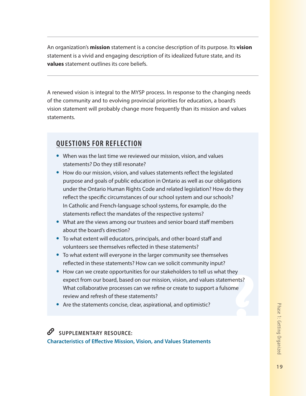An organization's **mission** statement is a concise description of its purpose. Its **vision** statement is a vivid and engaging description of its idealized future state, and its **values** statement outlines its core beliefs.

A renewed vision is integral to the MYSP process. In response to the changing needs of the community and to evolving provincial priorities for education, a board's vision statement will probably change more frequently than its mission and values statements.

# **QUESTIONS FOR REFLECTION**

- When was the last time we reviewed our mission, vision, and values statements? Do they still resonate?
- **•** How do our mission, vision, and values statements reflect the legislated purpose and goals of public education in Ontario as well as our obligations under the Ontario Human Rights Code and related legislation? How do they reflect the specific circumstances of our school system and our schools? In Catholic and French-language school systems, for example, do the statements reflect the mandates of the respective systems?
- **•** What are the views among our trustees and senior board staff members about the board's direction?
- **•** To what extent will educators, principals, and other board staff and volunteers see themselves reflected in these statements?
- **•** To what extent will everyone in the larger community see themselves reflected in these statements? How can we solicit community input?
- **•** How can we create opportunities for our stakeholders to tell us what they expect from our board, based on our mission, vision, and values statements? What collaborative processes can we refine or create to support a fulsome review and refresh of these statements?
- **•** Are the statements concise, clear, aspirational, and optimistic?

**SUPPLEMENTARY RESOURCE: Characteristics of Effective Mission, Vision, and Values Statements**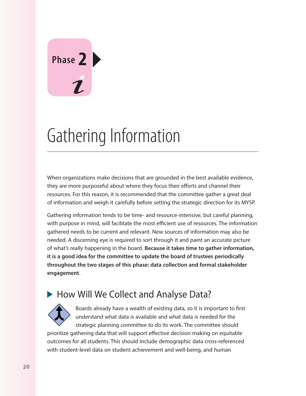# **Phase 2**

# Gathering Information

When organizations make decisions that are grounded in the best available evidence, they are more purposeful about where they focus their efforts and channel their resources. For this reason, it is recommended that the committee gather a great deal of information and weigh it carefully before setting the strategic direction for its MYSP.

Gathering information tends to be time- and resource-intensive, but careful planning, with purpose in mind, will facilitate the most efficient use of resources. The information gathered needs to be current and relevant. New sources of information may also be needed. A discerning eye is required to sort through it and paint an accurate picture of what's really happening in the board. **Because it takes time to gather information, it is a good idea for the committee to update the board of trustees periodically throughout the two stages of this phase: data collection and formal stakeholder engagement.**

# How Will We Collect and Analyse Data?



Boards already have a wealth of existing data, so it is important to first understand what data is available and what data is needed for the strategic planning committee to do its work. The committee should

prioritize gathering data that will support effective decision making on equitable outcomes for all students. This should include demographic data cross-referenced with student-level data on student achievement and well-being, and human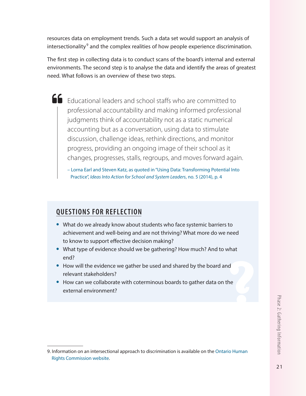resources data on employment trends. Such a data set would support an analysis of intersectionality<sup>9</sup> and the complex realities of how people experience discrimination.

The first step in collecting data is to conduct scans of the board's internal and external environments. The second step is to analyse the data and identify the areas of greatest need. What follows is an overview of these two steps.

Educational leaders and school staffs who are committed to professional accountability and making informed professional judgments think of accountability not as a static numerical accounting but as a conversation, using data to stimulate discussion, challenge ideas, rethink directions, and monitor progress, providing an ongoing image of their school as it changes, progresses, stalls, regroups, and moves forward again.

– Lorna Earl and Steven Katz, as quoted in "Using Data: Transforming Potential Into Practice", *Ideas Into Action for School and System Leaders*, no. 5 (2014), p. 4

# **QUESTIONS FOR REFLECTION**

- **•** What do we already know about students who face systemic barriers to achievement and well-being and are not thriving? What more do we need to know to support effective decision making?
- **•** What type of evidence should we be gathering? How much? And to what end?
- **•** How will the evidence we gather be used and shared by the board and relevant stakeholders?
- **•** How can we collaborate with coterminous boards to gather data on the external environment?

<sup>9.</sup> Information on an intersectional approach to discrimination is available on the Ontario Human Rights Commission website.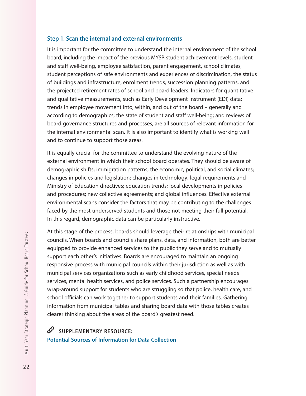#### **Step 1. Scan the internal and external environments**

It is important for the committee to understand the internal environment of the school board, including the impact of the previous MYSP, student achievement levels, student and staff well-being, employee satisfaction, parent engagement, school climates, student perceptions of safe environments and experiences of discrimination, the status of buildings and infrastructure, enrolment trends, succession planning patterns, and the projected retirement rates of school and board leaders. Indicators for quantitative and qualitative measurements, such as Early Development Instrument (EDI) data; trends in employee movement into, within, and out of the board – generally and according to demographics; the state of student and staff well-being; and reviews of board governance structures and processes, are all sources of relevant information for the internal environmental scan. It is also important to identify what is working well and to continue to support those areas.

It is equally crucial for the committee to understand the evolving nature of the external environment in which their school board operates. They should be aware of demographic shifts; immigration patterns; the economic, political, and social climates; changes in policies and legislation; changes in technology; legal requirements and Ministry of Education directives; education trends; local developments in policies and procedures; new collective agreements; and global influences. Effective external environmental scans consider the factors that may be contributing to the challenges faced by the most underserved students and those not meeting their full potential. In this regard, demographic data can be particularly instructive.

At this stage of the process, boards should leverage their relationships with municipal councils. When boards and councils share plans, data, and information, both are better equipped to provide enhanced services to the public they serve and to mutually support each other's initiatives. Boards are encouraged to maintain an ongoing responsive process with municipal councils within their jurisdiction as well as with municipal services organizations such as early childhood services, special needs services, mental health services, and police services. Such a partnership encourages wrap-around support for students who are struggling so that police, health care, and school officials can work together to support students and their families. Gathering information from municipal tables and sharing board data with those tables creates clearer thinking about the areas of the board's greatest need.

 $\mathscr{O}$ **SUPPLEMENTARY RESOURCE: Potential Sources of Information for Data Collection**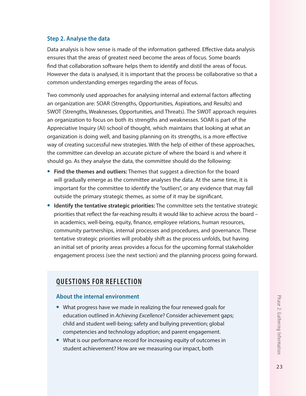#### **Step 2. Analyse the data**

Data analysis is how sense is made of the information gathered. Effective data analysis ensures that the areas of greatest need become the areas of focus. Some boards find that collaboration software helps them to identify and distil the areas of focus. However the data is analysed, it is important that the process be collaborative so that a common understanding emerges regarding the areas of focus.

Two commonly used approaches for analysing internal and external factors affecting an organization are: SOAR (Strengths, Opportunities, Aspirations, and Results) and SWOT (Strengths, Weaknesses, Opportunities, and Threats). The SWOT approach requires an organization to focus on both its strengths and weaknesses. SOAR is part of the Appreciative Inquiry (AI) school of thought, which maintains that looking at what an organization is doing well, and basing planning on its strengths, is a more effective way of creating successful new strategies. With the help of either of these approaches, the committee can develop an accurate picture of where the board is and where it should go. As they analyse the data, the committee should do the following:

- **• Find the themes and outliers:** Themes that suggest a direction for the board will gradually emerge as the committee analyses the data. At the same time, it is important for the committee to identify the "outliers", or any evidence that may fall outside the primary strategic themes, as some of it may be significant.
- **• Identify the tentative strategic priorities:** The committee sets the tentative strategic priorities that reflect the far-reaching results it would like to achieve across the board – in academics, well-being, equity, finance, employee relations, human resources, community partnerships, internal processes and procedures, and governance. These tentative strategic priorities will probably shift as the process unfolds, but having an initial set of priority areas provides a focus for the upcoming formal stakeholder engagement process (see the next section) and the planning process going forward.

## **QUESTIONS FOR REFLECTION**

#### **About the internal environment**

- **•** What progress have we made in realizing the four renewed goals for education outlined in *Achieving Excellence*? Consider achievement gaps; child and student well-being; safety and bullying prevention; global competencies and technology adoption; and parent engagement.
- **•** What is our performance record for increasing equity of outcomes in student achievement? How are we measuring our impact, both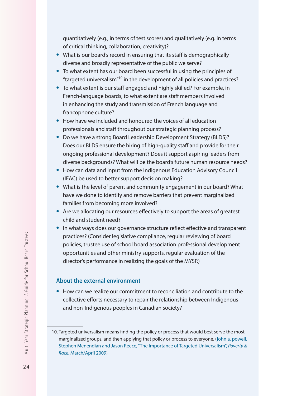quantitatively (e.g., in terms of test scores) and qualitatively (e.g. in terms of critical thinking, collaboration, creativity)?

- **•** What is our board's record in ensuring that its staff is demographically diverse and broadly representative of the public we serve?
- **•** To what extent has our board been successful in using the principles of "targeted universalism"10 in the development of all policies and practices?
- **•** To what extent is our staff engaged and highly skilled? For example, in French-language boards, to what extent are staff members involved in enhancing the study and transmission of French language and francophone culture?
- **•** How have we included and honoured the voices of all education professionals and staff throughout our strategic planning process?
- **•** Do we have a strong Board Leadership Development Strategy (BLDS)? Does our BLDS ensure the hiring of high-quality staff and provide for their ongoing professional development? Does it support aspiring leaders from diverse backgrounds? What will be the board's future human resource needs?
- **•** How can data and input from the Indigenous Education Advisory Council (IEAC) be used to better support decision making?
- **•** What is the level of parent and community engagement in our board? What have we done to identify and remove barriers that prevent marginalized families from becoming more involved?
- **•** Are we allocating our resources effectively to support the areas of greatest child and student need?
- **•** In what ways does our governance structure reflect effective and transparent practices? (Consider legislative compliance, regular reviewing of board policies, trustee use of school board association professional development opportunities and other ministry supports, regular evaluation of the director's performance in realizing the goals of the MYSP.)

#### **About the external environment**

**•** How can we realize our commitment to reconciliation and contribute to the collective efforts necessary to repair the relationship between Indigenous and non-Indigenous peoples in Canadian society?

<sup>10.</sup> Targeted universalism means finding the policy or process that would best serve the most marginalized groups, and then applying that policy or process to everyone. (john a. powell, Stephen Menendian and Jason Reece, "The Importance of Targeted Universalism", *Poverty & Race*, March/April 2009)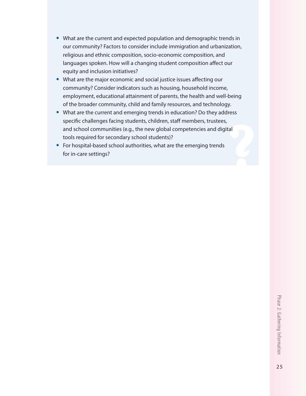- **•** What are the current and expected population and demographic trends in our community? Factors to consider include immigration and urbanization, religious and ethnic composition, socio-economic composition, and languages spoken. How will a changing student composition affect our equity and inclusion initiatives?
- **•** What are the major economic and social justice issues affecting our community? Consider indicators such as housing, household income, employment, educational attainment of parents, the health and well-being of the broader community, child and family resources, and technology.
- **•** What are the current and emerging trends in education? Do they address specific challenges facing students, children, staff members, trustees, and school communities (e.g., the new global competencies and digital tools required for secondary school students)?
- **•** For hospital-based school authorities, what are the emerging trends for in-care settings?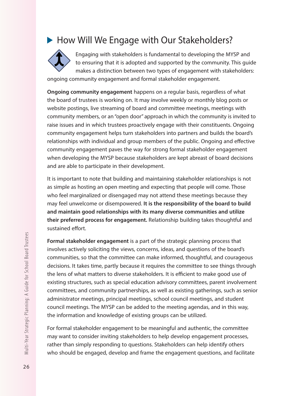# ▶ How Will We Engage with Our Stakeholders?



Engaging with stakeholders is fundamental to developing the MYSP and to ensuring that it is adopted and supported by the community. This guide makes a distinction between two types of engagement with stakeholders:

ongoing community engagement and formal stakeholder engagement.

**Ongoing community engagement** happens on a regular basis, regardless of what the board of trustees is working on. It may involve weekly or monthly blog posts or website postings, live streaming of board and committee meetings, meetings with community members, or an "open door" approach in which the community is invited to raise issues and in which trustees proactively engage with their constituents. Ongoing community engagement helps turn stakeholders into partners and builds the board's relationships with individual and group members of the public. Ongoing and effective community engagement paves the way for strong formal stakeholder engagement when developing the MYSP because stakeholders are kept abreast of board decisions and are able to participate in their development.

It is important to note that building and maintaining stakeholder relationships is not as simple as hosting an open meeting and expecting that people will come. Those who feel marginalized or disengaged may not attend these meetings because they may feel unwelcome or disempowered. **It is the responsibility of the board to build and maintain good relationships with its many diverse communities and utilize their preferred process for engagement.** Relationship building takes thoughtful and sustained effort.

**Formal stakeholder engagement** is a part of the strategic planning process that involves actively soliciting the views, concerns, ideas, and questions of the board's communities, so that the committee can make informed, thoughtful, and courageous decisions. It takes time, partly because it requires the committee to see things through the lens of what matters to diverse stakeholders. It is efficient to make good use of existing structures, such as special education advisory committees, parent involvement committees, and community partnerships, as well as existing gatherings, such as senior administrator meetings, principal meetings, school council meetings, and student council meetings. The MYSP can be added to the meeting agendas, and in this way, the information and knowledge of existing groups can be utilized.

For formal stakeholder engagement to be meaningful and authentic, the committee may want to consider inviting stakeholders to help develop engagement processes, rather than simply responding to questions. Stakeholders can help identify others who should be engaged, develop and frame the engagement questions, and facilitate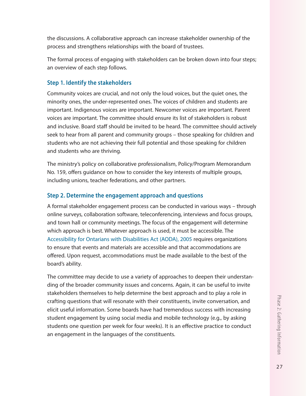the discussions. A collaborative approach can increase stakeholder ownership of the process and strengthens relationships with the board of trustees.

The formal process of engaging with stakeholders can be broken down into four steps; an overview of each step follows.

#### **Step 1. Identify the stakeholders**

Community voices are crucial, and not only the loud voices, but the quiet ones, the minority ones, the under-represented ones. The voices of children and students are important. Indigenous voices are important. Newcomer voices are important. Parent voices are important. The committee should ensure its list of stakeholders is robust and inclusive. Board staff should be invited to be heard. The committee should actively seek to hear from all parent and community groups – those speaking for children and students who are not achieving their full potential and those speaking for children and students who are thriving.

The ministry's policy on collaborative professionalism, Policy/Program Memorandum No. 159, offers guidance on how to consider the key interests of multiple groups, including unions, teacher federations, and other partners.

#### **Step 2. Determine the engagement approach and questions**

A formal stakeholder engagement process can be conducted in various ways – through online surveys, collaboration software, teleconferencing, interviews and focus groups, and town hall or community meetings. The focus of the engagement will determine which approach is best. Whatever approach is used, it must be accessible. The Accessibility for Ontarians with Disabilities Act (AODA), 2005 requires organizations to ensure that events and materials are accessible and that accommodations are offered. Upon request, accommodations must be made available to the best of the board's ability.

The committee may decide to use a variety of approaches to deepen their understanding of the broader community issues and concerns. Again, it can be useful to invite stakeholders themselves to help determine the best approach and to play a role in crafting questions that will resonate with their constituents, invite conversation, and elicit useful information. Some boards have had tremendous success with increasing student engagement by using social media and mobile technology (e.g., by asking students one question per week for four weeks). It is an effective practice to conduct an engagement in the languages of the constituents.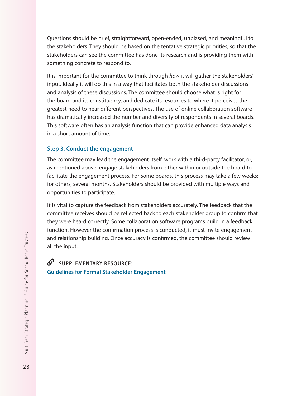Questions should be brief, straightforward, open-ended, unbiased, and meaningful to the stakeholders. They should be based on the tentative strategic priorities, so that the stakeholders can see the committee has done its research and is providing them with something concrete to respond to.

It is important for the committee to think through *how* it will gather the stakeholders' input. Ideally it will do this in a way that facilitates both the stakeholder discussions and analysis of these discussions. The committee should choose what is right for the board and its constituency, and dedicate its resources to where it perceives the greatest need to hear different perspectives. The use of online collaboration software has dramatically increased the number and diversity of respondents in several boards. This software often has an analysis function that can provide enhanced data analysis in a short amount of time.

#### **Step 3. Conduct the engagement**

The committee may lead the engagement itself, work with a third-party facilitator, or, as mentioned above, engage stakeholders from either within or outside the board to facilitate the engagement process. For some boards, this process may take a few weeks; for others, several months. Stakeholders should be provided with multiple ways and opportunities to participate.

It is vital to capture the feedback from stakeholders accurately. The feedback that the committee receives should be reflected back to each stakeholder group to confirm that they were heard correctly. Some collaboration software programs build in a feedback function. However the confirmation process is conducted, it must invite engagement and relationship building. Once accuracy is confirmed, the committee should review all the input.

## **SUPPLEMENTARY RESOURCE: Guidelines for Formal Stakeholder Engagement**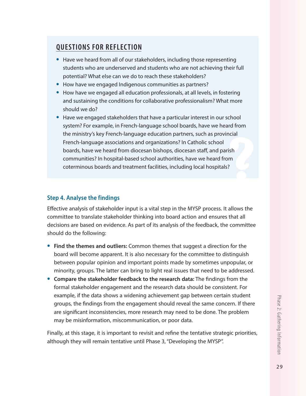# **QUESTIONS FOR REFLECTION**

- **•** Have we heard from all of our stakeholders, including those representing students who are underserved and students who are not achieving their full potential? What else can we do to reach these stakeholders?
- **•** How have we engaged Indigenous communities as partners?
- **•** How have we engaged all education professionals, at all levels, in fostering and sustaining the conditions for collaborative professionalism? What more should we do?
- **•** Have we engaged stakeholders that have a particular interest in our school system? For example, in French-language school boards, have we heard from the ministry's key French-language education partners, such as provincial French-language associations and organizations? In Catholic school boards, have we heard from diocesan bishops, diocesan staff, and parish communities? In hospital-based school authorities, have we heard from coterminous boards and treatment facilities, including local hospitals?

### **Step 4. Analyse the findings**

Effective analysis of stakeholder input is a vital step in the MYSP process. It allows the committee to translate stakeholder thinking into board action and ensures that all decisions are based on evidence. As part of its analysis of the feedback, the committee should do the following:

- **• Find the themes and outliers:** Common themes that suggest a direction for the board will become apparent. It is also necessary for the committee to distinguish between popular opinion and important points made by sometimes unpopular, or minority, groups. The latter can bring to light real issues that need to be addressed.
- **• Compare the stakeholder feedback to the research data:** The findings from the formal stakeholder engagement and the research data should be consistent. For example, if the data shows a widening achievement gap between certain student groups, the findings from the engagement should reveal the same concern. If there are significant inconsistencies, more research may need to be done. The problem may be misinformation, miscommunication, or poor data.

Finally, at this stage, it is important to revisit and refine the tentative strategic priorities, although they will remain tentative until Phase 3, "Developing the MYSP".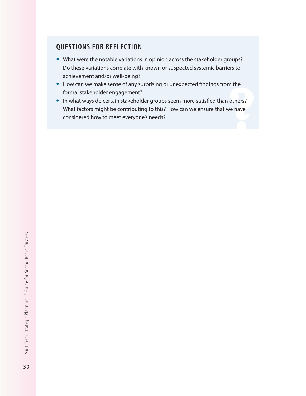# **QUESTIONS FOR REFLECTION**

- **•** What were the notable variations in opinion across the stakeholder groups? Do these variations correlate with known or suspected systemic barriers to achievement and/or well-being?
- **•** How can we make sense of any surprising or unexpected findings from the formal stakeholder engagement?
- **•** In what ways do certain stakeholder groups seem more satisfied than others? What factors might be contributing to this? How can we ensure that we have considered how to meet everyone's needs?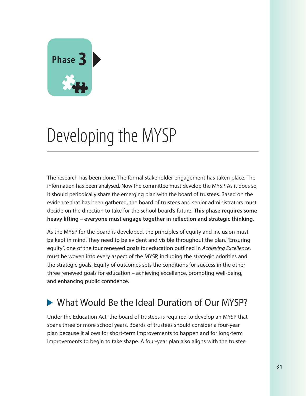

# Developing the MYSP

The research has been done. The formal stakeholder engagement has taken place. The information has been analysed. Now the committee must develop the MYSP. As it does so, it should periodically share the emerging plan with the board of trustees. Based on the evidence that has been gathered, the board of trustees and senior administrators must decide on the direction to take for the school board's future. **This phase requires some heavy lifting – everyone must engage together in reflection and strategic thinking.**

As the MYSP for the board is developed, the principles of equity and inclusion must be kept in mind. They need to be evident and visible throughout the plan. "Ensuring equity", one of the four renewed goals for education outlined in *Achieving Excellence*, must be woven into every aspect of the MYSP, including the strategic priorities and the strategic goals. Equity of outcomes sets the conditions for success in the other three renewed goals for education – achieving excellence, promoting well-being, and enhancing public confidence.

# What Would Be the Ideal Duration of Our MYSP?

Under the Education Act, the board of trustees is required to develop an MYSP that spans three or more school years. Boards of trustees should consider a four-year plan because it allows for short-term improvements to happen and for long-term improvements to begin to take shape. A four-year plan also aligns with the trustee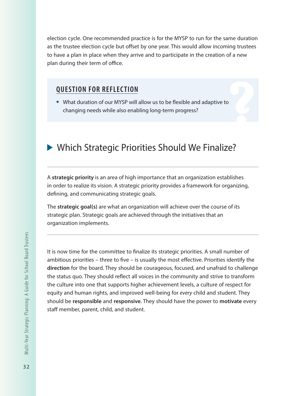election cycle. One recommended practice is for the MYSP to run for the same duration as the trustee election cycle but offset by one year. This would allow incoming trustees to have a plan in place when they arrive and to participate in the creation of a new plan during their term of office.

## **QUESTION FOR REFLECTION**

**•** What duration of our MYSP will allow us to be flexible and adaptive to changing needs while also enabling long-term progress?

# Which Strategic Priorities Should We Finalize?

A **strategic priority** is an area of high importance that an organization establishes in order to realize its vision. A strategic priority provides a framework for organizing, defining, and communicating strategic goals.

The **strategic goal(s)** are what an organization will achieve over the course of its strategic plan. Strategic goals are achieved through the initiatives that an organization implements.

It is now time for the committee to finalize its strategic priorities. A small number of ambitious priorities – three to five – is usually the most effective. Priorities identify the **direction** for the board. They should be courageous, focused, and unafraid to challenge the status quo. They should reflect all voices in the community and strive to transform the culture into one that supports higher achievement levels, a culture of respect for equity and human rights, and improved well-being for *every* child and student. They should be **responsible** and **responsive**. They should have the power to **motivate** every staff member, parent, child, and student.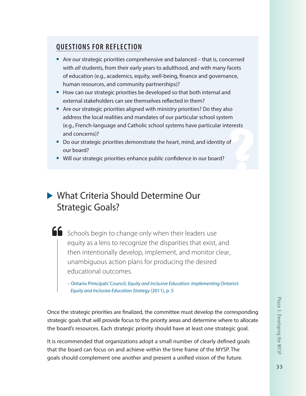# **QUESTIONS FOR REFLECTION**

- **•** Are our strategic priorities comprehensive and balanced that is, concerned with *all* students, from their early years to adulthood, and with many facets of education (e.g., academics, equity, well-being, finance and governance, human resources, and community partnerships)?
- **•** How can our strategic priorities be developed so that both internal and external stakeholders can see themselves reflected in them?
- **•** Are our strategic priorities aligned with ministry priorities? Do they also address the local realities and mandates of our particular school system (e.g., French-language and Catholic school systems have particular interests and concerns)?
- **•** Do our strategic priorities demonstrate the heart, mind, and identity of our board?
- **•** Will our strategic priorities enhance public confidence in our board?

# What Criteria Should Determine Our Strategic Goals?

SChools begin to change only when their leaders use equity as a lens to recognize the disparities that exist, and then intentionally develop, implement, and monitor clear, unambiguous action plans for producing the desired educational outcomes.

– Ontario Principals' Council, *Equity and Inclusive Education: Implementing Ontario's Equity and Inclusive Education Strategy* (2011), p. 5

Once the strategic priorities are finalized, the committee must develop the corresponding strategic goals that will provide focus to the priority areas and determine where to allocate the board's resources. Each strategic priority should have at least one strategic goal.

It is recommended that organizations adopt a small number of clearly defined goals that the board can focus on and achieve within the time frame of the MYSP. The goals should complement one another and present a unified vision of the future.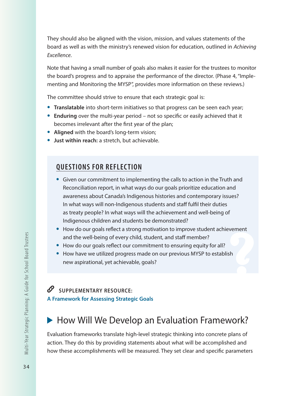They should also be aligned with the vision, mission, and values statements of the board as well as with the ministry's renewed vision for education, outlined in *Achieving Excellence*.

Note that having a small number of goals also makes it easier for the trustees to monitor the board's progress and to appraise the performance of the director. (Phase 4, "Implementing and Monitoring the MYSP", provides more information on these reviews.)

The committee should strive to ensure that each strategic goal is:

- **• Translatable** into short-term initiatives so that progress can be seen each year;
- **• Enduring** over the multi-year period not so specific or easily achieved that it becomes irrelevant after the first year of the plan;
- **• Aligned** with the board's long-term vision;
- **• Just within reach:** a stretch, but achievable.

# **QUESTIONS FOR REFLECTION**

- **•** Given our commitment to implementing the calls to action in the Truth and Reconciliation report, in what ways do our goals prioritize education and awareness about Canada's Indigenous histories and contemporary issues? In what ways will non-Indigenous students and staff fulfil their duties as treaty people? In what ways will the achievement and well-being of Indigenous children and students be demonstrated?
- **•** How do our goals reflect a strong motivation to improve student achievement and the well-being of every child, student, and staff member?
- **•** How do our goals reflect our commitment to ensuring equity for all?
- **•** How have we utilized progress made on our previous MYSP to establish new aspirational, yet achievable, goals?

# **SUPPLEMENTARY RESOURCE: A Framework for Assessing Strategic Goals**

# ▶ How Will We Develop an Evaluation Framework?

Evaluation frameworks translate high-level strategic thinking into concrete plans of action. They do this by providing statements about what will be accomplished and how these accomplishments will be measured. They set clear and specific parameters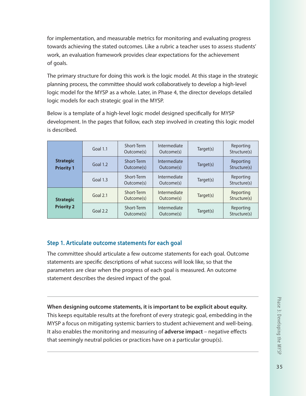for implementation, and measurable metrics for monitoring and evaluating progress towards achieving the stated outcomes. Like a rubric a teacher uses to assess students' work, an evaluation framework provides clear expectations for the achievement of goals.

The primary structure for doing this work is the logic model. At this stage in the strategic planning process, the committee should work collaboratively to develop a high-level logic model for the MYSP as a whole. Later, in Phase 4, the director develops detailed logic models for each strategic goal in the MYSP.

Below is a template of a high-level logic model designed specifically for MYSP development. In the pages that follow, each step involved in creating this logic model is described.

|                                       | Goal $1.1$ | Short-Term<br>Outcome(s) | Intermediate<br>Outcome(s)              | Target(s) | Reporting<br>Structure(s) |  |
|---------------------------------------|------------|--------------------------|-----------------------------------------|-----------|---------------------------|--|
| <b>Strategic</b><br><b>Priority 1</b> | Goal $1.2$ | Short-Term<br>Outcome(s) | Intermediate<br>Target(s)<br>Outcome(s) |           | Reporting<br>Structure(s) |  |
|                                       | Goal 1.3   | Short-Term<br>Outcome(s) | Intermediate<br>Outcome(s)              | Target(s) | Reporting<br>Structure(s) |  |
| <b>Strategic</b><br><b>Priority 2</b> | Goal 2.1   | Short-Term<br>Outcome(s) | Intermediate<br>Outcome(s)              | Target(s) | Reporting<br>Structure(s) |  |
|                                       | Goal 2.2   | Short-Term<br>Outcome(s) | Intermediate<br>Outcome(s)              | Target(s) | Reporting<br>Structure(s) |  |

## **Step 1. Articulate outcome statements for each goal**

The committee should articulate a few outcome statements for each goal. Outcome statements are specific descriptions of what success will look like, so that the parameters are clear when the progress of each goal is measured. An outcome statement describes the desired impact of the goal.

**When designing outcome statements, it is important to be explicit about equity.**  This keeps equitable results at the forefront of every strategic goal, embedding in the MYSP a focus on mitigating systemic barriers to student achievement and well-being. It also enables the monitoring and measuring of **adverse impact** – negative effects that seemingly neutral policies or practices have on a particular group(s).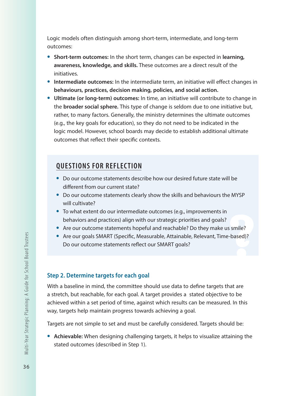Logic models often distinguish among short-term, intermediate, and long-term outcomes:

- **• Short-term outcomes:** In the short term, changes can be expected in **learning, awareness, knowledge, and skills.** These outcomes are a direct result of the initiatives.
- **• Intermediate outcomes:** In the intermediate term, an initiative will effect changes in **behaviours, practices, decision making, policies, and social action.**
- **• Ultimate (or long-term) outcomes:** In time, an initiative will contribute to change in the **broader social sphere.** This type of change is seldom due to one initiative but, rather, to many factors. Generally, the ministry determines the ultimate outcomes (e.g., the key goals for education), so they do not need to be indicated in the logic model. However, school boards may decide to establish additional ultimate outcomes that reflect their specific contexts.

# **QUESTIONS FOR REFLECTION**

- **•** Do our outcome statements describe how our desired future state will be different from our current state?
- **•** Do our outcome statements clearly show the skills and behaviours the MYSP will cultivate?
- **•** To what extent do our intermediate outcomes (e.g., improvements in behaviors and practices) align with our strategic priorities and goals?
- **•** Are our outcome statements hopeful and reachable? Do they make us smile?
- **•** Are our goals SMART (Specific, Measurable, Attainable, Relevant, Time-based)? Do our outcome statements reflect our SMART goals?

#### **Step 2. Determine targets for each goal**

With a baseline in mind, the committee should use data to define targets that are a stretch, but reachable, for each goal. A target provides a stated objective to be achieved within a set period of time, against which results can be measured. In this way, targets help maintain progress towards achieving a goal.

Targets are not simple to set and must be carefully considered. Targets should be:

**• Achievable:** When designing challenging targets, it helps to visualize attaining the stated outcomes (described in Step 1).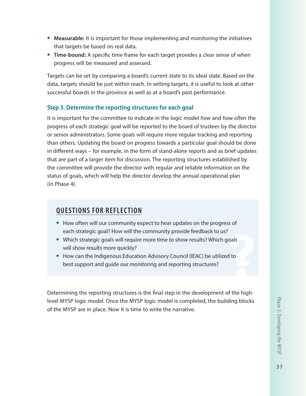- **• Measurable:** It is important for those implementing and monitoring the initiatives that targets be based on real data.
- **• Time-bound:** A specific time frame for each target provides a clear sense of when progress will be measured and assessed.

Targets can be set by comparing a board's current state to its ideal state. Based on the data, targets should be just within reach. In setting targets, it is useful to look at other successful boards in the province as well as at a board's past performance.

## **Step 3. Determine the reporting structures for each goal**

It is important for the committee to indicate in the logic model *how* and *how often* the progress of each strategic goal will be reported to the board of trustees by the director or senior administrators. Some goals will require more regular tracking and reporting than others. Updating the board on progress towards a particular goal should be done in different ways – for example, in the form of stand-alone reports and as brief updates that are part of a larger item for discussion. The reporting structures established by the committee will provide the director with regular and reliable information on the status of goals, which will help the director develop the annual operational plan (in Phase 4).

# **QUESTIONS FOR REFLECTION**

- **•** How often will our community expect to hear updates on the progress of each strategic goal? How will the community provide feedback to us?
- **•** Which strategic goals will require more time to show results? Which goals will show results more quickly?
- **•** How can the Indigenous Education Advisory Council (IEAC) be utilized to best support and guide our monitoring and reporting structures?

Determining the reporting structures is the final step in the development of the highlevel MYSP logic model. Once the MYSP logic model is completed, the building blocks of the MYSP are in place. Now it is time to write the narrative.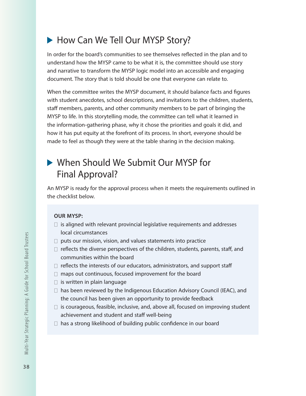# How Can We Tell Our MYSP Story?

In order for the board's communities to see themselves reflected in the plan and to understand how the MYSP came to be what it is, the committee should use story and narrative to transform the MYSP logic model into an accessible and engaging document. The story that is told should be one that everyone can relate to.

When the committee writes the MYSP document, it should balance facts and figures with student anecdotes, school descriptions, and invitations to the children, students, staff members, parents, and other community members to be part of bringing the MYSP to life. In this storytelling mode, the committee can tell what it learned in the information-gathering phase, why it chose the priorities and goals it did, and how it has put equity at the forefront of its process. In short, everyone should be made to feel as though they were at the table sharing in the decision making.

# When Should We Submit Our MYSP for Final Approval?

An MYSP is ready for the approval process when it meets the requirements outlined in the checklist below.

#### **OUR MYSP:**

- $\Box$  is aligned with relevant provincial legislative requirements and addresses local circumstances
- $\Box$  puts our mission, vision, and values statements into practice
- $\Box$  reflects the diverse perspectives of the children, students, parents, staff, and communities within the board
- $\Box$  reflects the interests of our educators, administrators, and support staff
- $\Box$  maps out continuous, focused improvement for the board
- $\Box$  is written in plain language
- $\Box$  has been reviewed by the Indigenous Education Advisory Council (IEAC), and the council has been given an opportunity to provide feedback
- $\Box$  is courageous, feasible, inclusive, and, above all, focused on improving student achievement and student and staff well-being
- $\Box$  has a strong likelihood of building public confidence in our board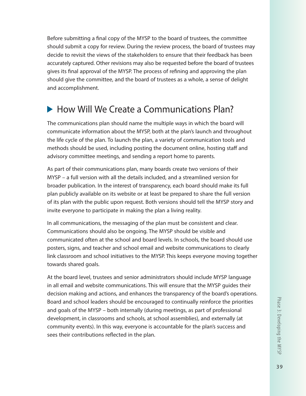Before submitting a final copy of the MYSP to the board of trustees, the committee should submit a copy for review. During the review process, the board of trustees may decide to revisit the views of the stakeholders to ensure that their feedback has been accurately captured. Other revisions may also be requested before the board of trustees gives its final approval of the MYSP. The process of refining and approving the plan should give the committee, and the board of trustees as a whole, a sense of delight and accomplishment.

# ▶ How Will We Create a Communications Plan?

The communications plan should name the multiple ways in which the board will communicate information about the MYSP, both at the plan's launch and throughout the life cycle of the plan. To launch the plan, a variety of communication tools and methods should be used, including posting the document online, hosting staff and advisory committee meetings, and sending a report home to parents.

As part of their communications plan, many boards create two versions of their MYSP – a full version with all the details included, and a streamlined version for broader publication. In the interest of transparency, each board should make its full plan publicly available on its website or at least be prepared to share the full version of its plan with the public upon request. Both versions should tell the MYSP story and invite everyone to participate in making the plan a living reality.

In all communications, the messaging of the plan must be consistent and clear. Communications should also be ongoing. The MYSP should be visible and communicated often at the school and board levels. In schools, the board should use posters, signs, and teacher and school email and website communications to clearly link classroom and school initiatives to the MYSP. This keeps everyone moving together towards shared goals.

At the board level, trustees and senior administrators should include MYSP language in all email and website communications. This will ensure that the MYSP guides their decision making and actions, and enhances the transparency of the board's operations. Board and school leaders should be encouraged to continually reinforce the priorities and goals of the MYSP – both internally (during meetings, as part of professional development, in classrooms and schools, at school assemblies), and externally (at community events). In this way, everyone is accountable for the plan's success and sees their contributions reflected in the plan.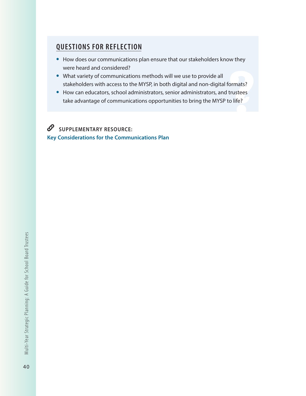# **QUESTIONS FOR REFLECTION**

- **•** How does our communications plan ensure that our stakeholders know they were heard and considered?
- **•** What variety of communications methods will we use to provide all stakeholders with access to the MYSP, in both digital and non-digital formats?
- **•** How can educators, school administrators, senior administrators, and trustees take advantage of communications opportunities to bring the MYSP to life?

 $\mathscr{O}$ **SUPPLEMENTARY RESOURCE: Key Considerations for the Communications Plan**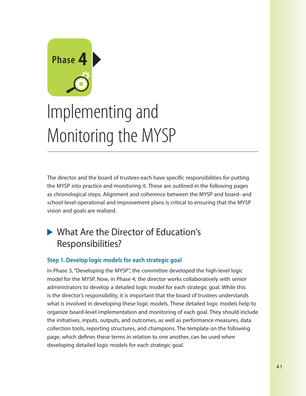

# Implementing and Monitoring the MYSP

The director and the board of trustees each have specific responsibilities for putting the MYSP into practice and monitoring it. These are outlined in the following pages as chronological steps. Alignment and coherence between the MYSP and board- and school-level operational and improvement plans is critical to ensuring that the MYSP vision and goals are realized.

# ▶ What Are the Director of Education's Responsibilities?

## **Step 1. Develop logic models for each strategic goal**

In Phase 3, "Developing the MYSP", the committee developed the high-level logic model for the MYSP. Now, in Phase 4, the director works collaboratively with senior administrators to develop a detailed logic model for each strategic goal. While this is the director's responsibility, it is important that the board of trustees understands what is involved in developing these logic models. These detailed logic models help to organize board-level implementation and monitoring of each goal. They should include the initiatives, inputs, outputs, and outcomes, as well as performance measures, data collection tools, reporting structures, and champions. The template on the following page, which defines these terms in relation to one another, can be used when developing detailed logic models for each strategic goal.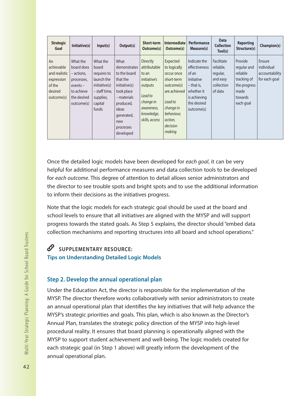| <b>Strategic</b><br>Goal                                                           | Initiative(s)                                                                                               | Input(s)                                                                                                          | Output(s)                                                                                                                                                           | <b>Short-term</b><br>Outcome(s)                                                                                                           | <b>Intermediate</b><br>Outcome(s)                                                                                                                         | <b>Performance</b><br>Measure(s)                                                                                                | <b>Data</b><br><b>Collection</b><br>Tool(s)                              | <b>Reporting</b><br>Structure(s)                                                                  | Champion(s)                                             |
|------------------------------------------------------------------------------------|-------------------------------------------------------------------------------------------------------------|-------------------------------------------------------------------------------------------------------------------|---------------------------------------------------------------------------------------------------------------------------------------------------------------------|-------------------------------------------------------------------------------------------------------------------------------------------|-----------------------------------------------------------------------------------------------------------------------------------------------------------|---------------------------------------------------------------------------------------------------------------------------------|--------------------------------------------------------------------------|---------------------------------------------------------------------------------------------------|---------------------------------------------------------|
| An<br>achievable<br>and realistic<br>expression<br>of the<br>desired<br>outcome(s) | What the<br>board does<br>– actions,<br>processes,<br>$events -$<br>to achieve<br>the desired<br>outcome(s) | What the<br>board<br>requires to<br>launch the<br>initiative(s)<br>- staff time,<br>supplies,<br>capital<br>funds | What<br>demonstrates<br>to the board<br>that the<br>initiative(s)<br>took place<br>– materials<br>produced,<br>ideas<br>generated,<br>new<br>processes<br>developed | <b>Directly</b><br>attributable<br>to an<br>initiative's<br>outputs<br>Lead to<br>change in<br>awareness,<br>knowledge,<br>skills, access | Expected<br>to logically<br>occur once<br>short-term<br>outcome(s)<br>are achieved<br>Lead to<br>change in<br>behaviour,<br>action,<br>decision<br>making | Indicate the<br>effectiveness<br>of an<br>initiative<br>$-$ that is,<br>whether it<br>is achieving<br>the desired<br>outcome(s) | Facilitate<br>reliable,<br>regular,<br>and easy<br>collection<br>of data | Provide<br>regular and<br>reliable<br>tracking of<br>the progress<br>made<br>towards<br>each goal | Ensure<br>individual<br>accountability<br>for each goal |

Once the detailed logic models have been developed for *each goal*, it can be very helpful for additional performance measures and data collection tools to be developed for *each outcome*. This degree of attention to detail allows senior administrators and the director to see trouble spots and bright spots and to use the additional information to inform their decisions as the initiatives progress.

Note that the logic models for each strategic goal should be used at the board and school levels to ensure that all initiatives are aligned with the MYSP and will support progress towards the stated goals. As Step 5 explains, the director should "embed data collection mechanisms and reporting structures into all board and school operations."

# **SUPPLEMENTARY RESOURCE:**

**Tips on Understanding Detailed Logic Models**

## **Step 2. Develop the annual operational plan**

Under the Education Act, the director is responsible for the implementation of the MYSP. The director therefore works collaboratively with senior administrators to create an annual operational plan that identifies the key initiatives that will help advance the MYSP's strategic priorities and goals. This plan, which is also known as the Director's Annual Plan, translates the strategic policy direction of the MYSP into high-level procedural reality. It ensures that board planning is operationally aligned with the MYSP to support student achievement and well-being. The logic models created for each strategic goal (in Step 1 above) will greatly inform the development of the annual operational plan.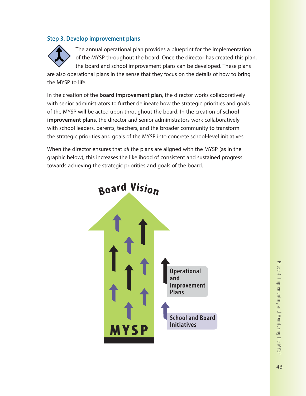#### **Step 3. Develop improvement plans**



The annual operational plan provides a blueprint for the implementation of the MYSP throughout the board. Once the director has created this plan, the board and school improvement plans can be developed. These plans

are also operational plans in the sense that they focus on the details of how to bring the MYSP to life.

In the creation of the **board improvement plan**, the director works collaboratively with senior administrators to further delineate how the strategic priorities and goals of the MYSP will be acted upon throughout the board. In the creation of **school improvement plans**, the director and senior administrators work collaboratively with school leaders, parents, teachers, and the broader community to transform the strategic priorities and goals of the MYSP into concrete school-level initiatives.

When the director ensures that *all* the plans are aligned with the MYSP (as in the graphic below), this increases the likelihood of consistent and sustained progress towards achieving the strategic priorities and goals of the board.

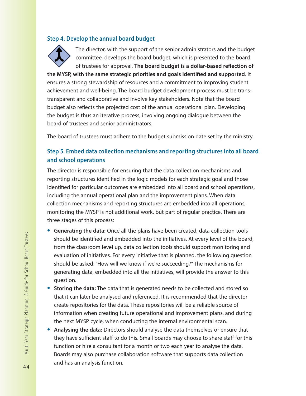#### **Step 4. Develop the annual board budget**

![](_page_45_Picture_1.jpeg)

The director, with the support of the senior administrators and the budget committee, develops the board budget, which is presented to the board of trustees for approval. **The board budget is a dollar-based reflection of** 

**the MYSP, with the same strategic priorities and goals identified and supported**. It ensures a strong stewardship of resources and a commitment to improving student achievement and well-being. The board budget development process must be transtransparent and collaborative and involve key stakeholders. Note that the board budget also reflects the projected cost of the annual operational plan. Developing the budget is thus an iterative process, involving ongoing dialogue between the board of trustees and senior administrators.

The board of trustees must adhere to the budget submission date set by the ministry.

#### **Step 5. Embed data collection mechanisms and reporting structures into all board and school operations**

The director is responsible for ensuring that the data collection mechanisms and reporting structures identified in the logic models for each strategic goal and those identified for particular outcomes are embedded into all board and school operations, including the annual operational plan and the improvement plans. When data collection mechanisms and reporting structures are embedded into all operations, monitoring the MYSP is not additional work, but part of regular practice. There are three stages of this process:

- **• Generating the data:** Once all the plans have been created, data collection tools should be identified and embedded into the initiatives. At every level of the board, from the classroom level up, data collection tools should support monitoring and evaluation of initiatives. For every initiative that is planned, the following question should be asked: "How will we know if we're succeeding?" The mechanisms for generating data, embedded into all the initiatives, will provide the answer to this question.
- **• Storing the data:** The data that is generated needs to be collected and stored so that it can later be analysed and referenced. It is recommended that the director create repositories for the data. These repositories will be a reliable source of information when creating future operational and improvement plans, and during the next MYSP cycle, when conducting the internal environmental scan.
- **• Analysing the data:** Directors should analyse the data themselves or ensure that they have sufficient staff to do this. Small boards may choose to share staff for this function or hire a consultant for a month or two each year to analyse the data. Boards may also purchase collaboration software that supports data collection and has an analysis function.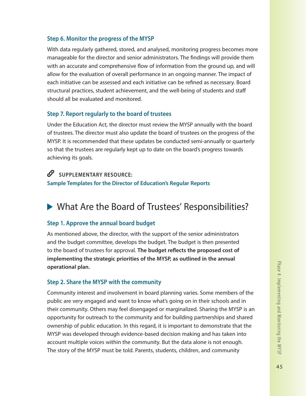#### **Step 6. Monitor the progress of the MYSP**

With data regularly gathered, stored, and analysed, monitoring progress becomes more manageable for the director and senior administrators. The findings will provide them with an accurate and comprehensive flow of information from the ground up, and will allow for the evaluation of overall performance in an ongoing manner. The impact of each initiative can be assessed and each initiative can be refined as necessary. Board structural practices, student achievement, and the well-being of students and staff should all be evaluated and monitored.

#### **Step 7. Report regularly to the board of trustees**

Under the Education Act, the director must review the MYSP annually with the board of trustees. The director must also update the board of trustees on the progress of the MYSP. It is recommended that these updates be conducted semi-annually or quarterly so that the trustees are regularly kept up to date on the board's progress towards achieving its goals.

## SUPPLEMENTARY RESOURCE:

**Sample Templates for the Director of Education's Regular Reports**

# ▶ What Are the Board of Trustees' Responsibilities?

#### **Step 1. Approve the annual board budget**

As mentioned above, the director, with the support of the senior administrators and the budget committee, develops the budget. The budget is then presented to the board of trustees for approval. **The budget reflects the proposed cost of implementing the strategic priorities of the MYSP, as outlined in the annual operational plan.**

#### **Step 2. Share the MYSP with the community**

Community interest and involvement in board planning varies. Some members of the public are very engaged and want to know what's going on in their schools and in their community. Others may feel disengaged or marginalized. Sharing the MYSP is an opportunity for outreach to the community and for building partnerships and shared ownership of public education. In this regard, it is important to demonstrate that the MYSP was developed through evidence-based decision making and has taken into account multiple voices within the community. But the data alone is not enough. The story of the MYSP must be told. Parents, students, children, and community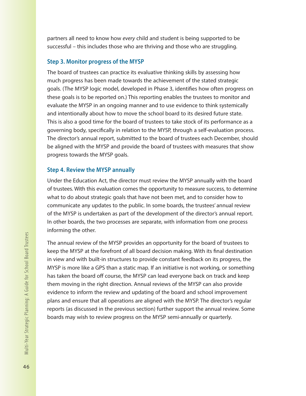partners all need to know how *every* child and student is being supported to be successful – this includes those who are thriving and those who are struggling.

#### **Step 3. Monitor progress of the MYSP**

The board of trustees can practice its evaluative thinking skills by assessing how much progress has been made towards the achievement of the stated strategic goals. (The MYSP logic model, developed in Phase 3, identifies how often progress on these goals is to be reported on.) This reporting enables the trustees to monitor and evaluate the MYSP in an ongoing manner and to use evidence to think systemically and intentionally about how to move the school board to its desired future state. This is also a good time for the board of trustees to take stock of its performance as a governing body, specifically in relation to the MYSP, through a self-evaluation process. The director's annual report, submitted to the board of trustees each December, should be aligned with the MYSP and provide the board of trustees with measures that show progress towards the MYSP goals.

#### **Step 4. Review the MYSP annually**

Under the Education Act, the director must review the MYSP annually with the board of trustees. With this evaluation comes the opportunity to measure success, to determine what to do about strategic goals that have not been met, and to consider how to communicate any updates to the public. In some boards, the trustees' annual review of the MYSP is undertaken as part of the development of the director's annual report. In other boards, the two processes are separate, with information from one process informing the other.

The annual review of the MYSP provides an opportunity for the board of trustees to keep the MYSP at the forefront of all board decision making. With its final destination in view and with built-in structures to provide constant feedback on its progress, the MYSP is more like a GPS than a static map. If an initiative is not working, or something has taken the board off course, the MYSP can lead everyone back on track and keep them moving in the right direction. Annual reviews of the MYSP can also provide evidence to inform the review and updating of the board and school improvement plans and ensure that all operations are aligned with the MYSP. The director's regular reports (as discussed in the previous section) further support the annual review. Some boards may wish to review progress on the MYSP semi-annually or quarterly.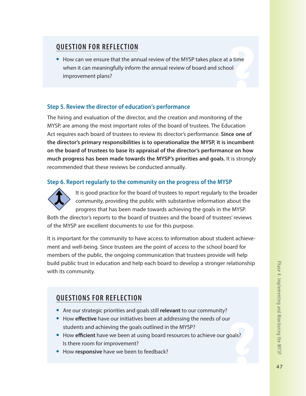# **QUESTION FOR REFLECTION**

**•** How can we ensure that the annual review of the MYSP takes place at a time when it can meaningfully inform the annual review of board and school improvement plans?

#### **Step 5. Review the director of education's performance**

The hiring and evaluation of the director, and the creation and monitoring of the MYSP, are among the most important roles of the board of trustees. The Education Act requires each board of trustees to review its director's performance. **Since one of the director's primary responsibilities is to operationalize the MYSP, it is incumbent on the board of trustees to base its appraisal of the director's performance on how much progress has been made towards the MYSP's priorities and goals.** It is strongly recommended that these reviews be conducted annually.

#### **Step 6. Report regularly to the community on the progress of the MYSP**

![](_page_48_Picture_6.jpeg)

It is good practice for the board of trustees to report regularly to the broader community, providing the public with substantive information about the progress that has been made towards achieving the goals in the MYSP.

Both the director's reports to the board of trustees and the board of trustees' reviews of the MYSP are excellent documents to use for this purpose.

It is important for the community to have access to information about student achievement and well-being. Since trustees are the point of access to the school board for members of the public, the ongoing communication that trustees provide will help build public trust in education and help each board to develop a stronger relationship with its community.

# **QUESTIONS FOR REFLECTION**

- **•** Are our strategic priorities and goals still **relevant** to our community?
- **•** How **effective** have our initiatives been at addressing the needs of our students and achieving the goals outlined in the MYSP?
- **•** How **efficient** have we been at using board resources to achieve our goals? Is there room for improvement?
- **•** How **responsive** have we been to feedback?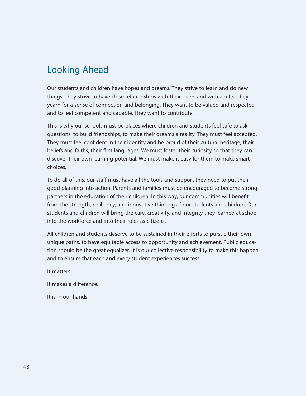# Looking Ahead

Our students and children have hopes and dreams. They strive to learn and do new things. They strive to have close relationships with their peers and with adults. They yearn for a sense of connection and belonging. They want to be valued and respected and to feel competent and capable. They want to contribute.

This is why our schools must be places where children and students feel safe to ask questions, to build friendships, to make their dreams a reality. They must feel accepted. They must feel confident in their identity and be proud of their cultural heritage, their beliefs and faiths, their first languages. We must foster their curiosity so that they can discover their own learning potential. We must make it easy for them to make smart choices.

To do all of this, our staff must have all the tools and support they need to put their good planning into action. Parents and families must be encouraged to become strong partners in the education of their children. In this way, our communities will benefit from the strength, resiliency, and innovative thinking of our students and children. Our students and children will bring the care, creativity, and integrity they learned at school into the workforce and into their roles as citizens.

All children and students deserve to be sustained in their efforts to pursue their own unique paths, to have equitable access to opportunity and achievement. Public education should be the great equalizer. It is our collective responsibility to make this happen and to ensure that each and every student experiences success.

It matters.

It makes a difference.

It is in our hands.